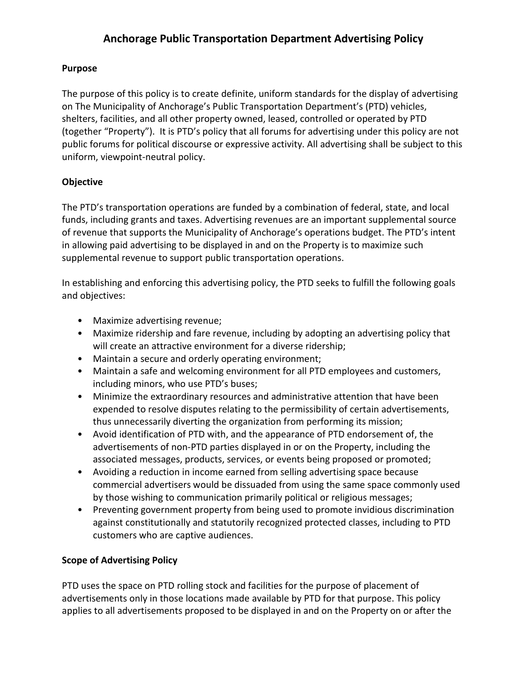#### **Purpose**

The purpose of this policy is to create definite, uniform standards for the display of advertising on The Municipality of Anchorage's Public Transportation Department's (PTD) vehicles, shelters, facilities, and all other property owned, leased, controlled or operated by PTD (together "Property"). It is PTD's policy that all forums for advertising under this policy are not public forums for political discourse or expressive activity. All advertising shall be subject to this uniform, viewpoint-neutral policy.

### **Objective**

The PTD's transportation operations are funded by a combination of federal, state, and local funds, including grants and taxes. Advertising revenues are an important supplemental source of revenue that supports the Municipality of Anchorage's operations budget. The PTD's intent in allowing paid advertising to be displayed in and on the Property is to maximize such supplemental revenue to support public transportation operations.

In establishing and enforcing this advertising policy, the PTD seeks to fulfill the following goals and objectives:

- Maximize advertising revenue;
- Maximize ridership and fare revenue, including by adopting an advertising policy that will create an attractive environment for a diverse ridership;
- Maintain a secure and orderly operating environment;
- Maintain a safe and welcoming environment for all PTD employees and customers, including minors, who use PTD's buses;
- Minimize the extraordinary resources and administrative attention that have been expended to resolve disputes relating to the permissibility of certain advertisements, thus unnecessarily diverting the organization from performing its mission;
- Avoid identification of PTD with, and the appearance of PTD endorsement of, the advertisements of non-PTD parties displayed in or on the Property, including the associated messages, products, services, or events being proposed or promoted;
- Avoiding a reduction in income earned from selling advertising space because commercial advertisers would be dissuaded from using the same space commonly used by those wishing to communication primarily political or religious messages;
- Preventing government property from being used to promote invidious discrimination against constitutionally and statutorily recognized protected classes, including to PTD customers who are captive audiences.

### **Scope of Advertising Policy**

PTD uses the space on PTD rolling stock and facilities for the purpose of placement of advertisements only in those locations made available by PTD for that purpose. This policy applies to all advertisements proposed to be displayed in and on the Property on or after the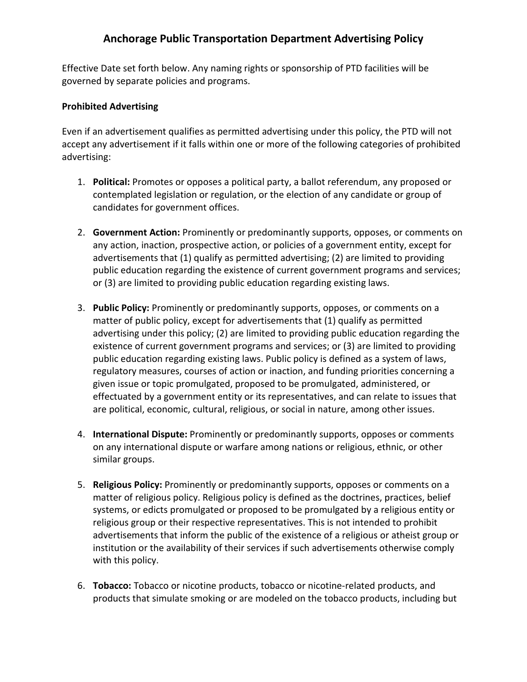Effective Date set forth below. Any naming rights or sponsorship of PTD facilities will be governed by separate policies and programs.

#### **Prohibited Advertising**

Even if an advertisement qualifies as permitted advertising under this policy, the PTD will not accept any advertisement if it falls within one or more of the following categories of prohibited advertising:

- 1. **Political:** Promotes or opposes a political party, a ballot referendum, any proposed or contemplated legislation or regulation, or the election of any candidate or group of candidates for government offices.
- 2. **Government Action:** Prominently or predominantly supports, opposes, or comments on any action, inaction, prospective action, or policies of a government entity, except for advertisements that (1) qualify as permitted advertising; (2) are limited to providing public education regarding the existence of current government programs and services; or (3) are limited to providing public education regarding existing laws.
- 3. **Public Policy:** Prominently or predominantly supports, opposes, or comments on a matter of public policy, except for advertisements that (1) qualify as permitted advertising under this policy; (2) are limited to providing public education regarding the existence of current government programs and services; or (3) are limited to providing public education regarding existing laws. Public policy is defined as a system of laws, regulatory measures, courses of action or inaction, and funding priorities concerning a given issue or topic promulgated, proposed to be promulgated, administered, or effectuated by a government entity or its representatives, and can relate to issues that are political, economic, cultural, religious, or social in nature, among other issues.
- 4. **International Dispute:** Prominently or predominantly supports, opposes or comments on any international dispute or warfare among nations or religious, ethnic, or other similar groups.
- 5. **Religious Policy:** Prominently or predominantly supports, opposes or comments on a matter of religious policy. Religious policy is defined as the doctrines, practices, belief systems, or edicts promulgated or proposed to be promulgated by a religious entity or religious group or their respective representatives. This is not intended to prohibit advertisements that inform the public of the existence of a religious or atheist group or institution or the availability of their services if such advertisements otherwise comply with this policy.
- 6. **Tobacco:** Tobacco or nicotine products, tobacco or nicotine-related products, and products that simulate smoking or are modeled on the tobacco products, including but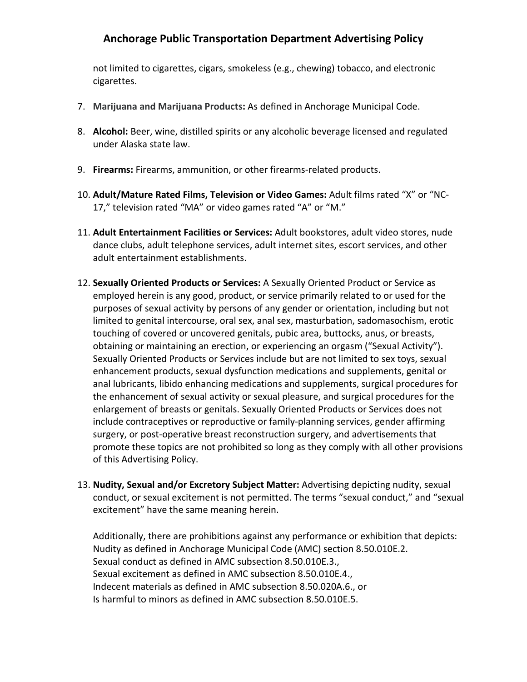not limited to cigarettes, cigars, smokeless (e.g., chewing) tobacco, and electronic cigarettes.

- 7. **Marijuana and Marijuana Products:** As defined in Anchorage Municipal Code.
- 8. **Alcohol:** Beer, wine, distilled spirits or any alcoholic beverage licensed and regulated under Alaska state law.
- 9. **Firearms:** Firearms, ammunition, or other firearms-related products.
- 10. **Adult/Mature Rated Films, Television or Video Games:** Adult films rated "X" or "NC-17," television rated "MA" or video games rated "A" or "M."
- 11. **Adult Entertainment Facilities or Services:** Adult bookstores, adult video stores, nude dance clubs, adult telephone services, adult internet sites, escort services, and other adult entertainment establishments.
- 12. **Sexually Oriented Products or Services:** A Sexually Oriented Product or Service as employed herein is any good, product, or service primarily related to or used for the purposes of sexual activity by persons of any gender or orientation, including but not limited to genital intercourse, oral sex, anal sex, masturbation, sadomasochism, erotic touching of covered or uncovered genitals, pubic area, buttocks, anus, or breasts, obtaining or maintaining an erection, or experiencing an orgasm ("Sexual Activity"). Sexually Oriented Products or Services include but are not limited to sex toys, sexual enhancement products, sexual dysfunction medications and supplements, genital or anal lubricants, libido enhancing medications and supplements, surgical procedures for the enhancement of sexual activity or sexual pleasure, and surgical procedures for the enlargement of breasts or genitals. Sexually Oriented Products or Services does not include contraceptives or reproductive or family-planning services, gender affirming surgery, or post-operative breast reconstruction surgery, and advertisements that promote these topics are not prohibited so long as they comply with all other provisions of this Advertising Policy.
- 13. **Nudity, Sexual and/or Excretory Subject Matter:** Advertising depicting nudity, sexual conduct, or sexual excitement is not permitted. The terms "sexual conduct," and "sexual excitement" have the same meaning herein.

Additionally, there are prohibitions against any performance or exhibition that depicts: Nudity as defined in Anchorage Municipal Code (AMC) section 8.50.010E.2. Sexual conduct as defined in AMC subsection 8.50.010E.3., Sexual excitement as defined in AMC subsection 8.50.010E.4., Indecent materials as defined in AMC subsection 8.50.020A.6., or Is harmful to minors as defined in AMC subsection 8.50.010E.5.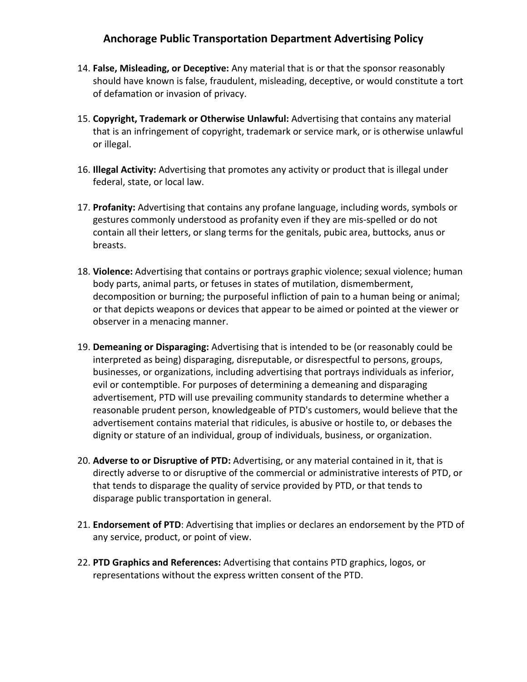- 14. **False, Misleading, or Deceptive:** Any material that is or that the sponsor reasonably should have known is false, fraudulent, misleading, deceptive, or would constitute a tort of defamation or invasion of privacy.
- 15. **Copyright, Trademark or Otherwise Unlawful:** Advertising that contains any material that is an infringement of copyright, trademark or service mark, or is otherwise unlawful or illegal.
- 16. **Illegal Activity:** Advertising that promotes any activity or product that is illegal under federal, state, or local law.
- 17. **Profanity:** Advertising that contains any profane language, including words, symbols or gestures commonly understood as profanity even if they are mis-spelled or do not contain all their letters, or slang terms for the genitals, pubic area, buttocks, anus or breasts.
- 18. **Violence:** Advertising that contains or portrays graphic violence; sexual violence; human body parts, animal parts, or fetuses in states of mutilation, dismemberment, decomposition or burning; the purposeful infliction of pain to a human being or animal; or that depicts weapons or devices that appear to be aimed or pointed at the viewer or observer in a menacing manner.
- 19. **Demeaning or Disparaging:** Advertising that is intended to be (or reasonably could be interpreted as being) disparaging, disreputable, or disrespectful to persons, groups, businesses, or organizations, including advertising that portrays individuals as inferior, evil or contemptible. For purposes of determining a demeaning and disparaging advertisement, PTD will use prevailing community standards to determine whether a reasonable prudent person, knowledgeable of PTD's customers, would believe that the advertisement contains material that ridicules, is abusive or hostile to, or debases the dignity or stature of an individual, group of individuals, business, or organization.
- 20. **Adverse to or Disruptive of PTD:** Advertising, or any material contained in it, that is directly adverse to or disruptive of the commercial or administrative interests of PTD, or that tends to disparage the quality of service provided by PTD, or that tends to disparage public transportation in general.
- 21. **Endorsement of PTD**: Advertising that implies or declares an endorsement by the PTD of any service, product, or point of view.
- 22. **PTD Graphics and References:** Advertising that contains PTD graphics, logos, or representations without the express written consent of the PTD.